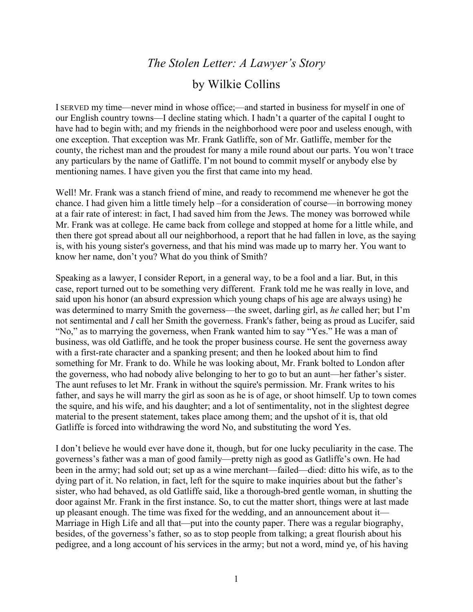## *The Stolen Letter: A Lawyer's Story*

## by Wilkie Collins

I SERVED my time—never mind in whose office;—and started in business for myself in one of our English country towns—I decline stating which. I hadn't a quarter of the capital I ought to have had to begin with; and my friends in the neighborhood were poor and useless enough, with one exception. That exception was Mr. Frank Gatliffe, son of Mr. Gatliffe, member for the county, the richest man and the proudest for many a mile round about our parts. You won't trace any particulars by the name of Gatliffe. I'm not bound to commit myself or anybody else by mentioning names. I have given you the first that came into my head.

Well! Mr. Frank was a stanch friend of mine, and ready to recommend me whenever he got the chance. I had given him a little timely help –for a consideration of course—in borrowing money at a fair rate of interest: in fact, I had saved him from the Jews. The money was borrowed while Mr. Frank was at college. He came back from college and stopped at home for a little while, and then there got spread about all our neighborhood, a report that he had fallen in love, as the saying is, with his young sister's governess, and that his mind was made up to marry her. You want to know her name, don't you? What do you think of Smith?

Speaking as a lawyer, I consider Report, in a general way, to be a fool and a liar. But, in this case, report turned out to be something very different. Frank told me he was really in love, and said upon his honor (an absurd expression which young chaps of his age are always using) he was determined to marry Smith the governess—the sweet, darling girl, as *he* called her; but I'm not sentimental and *I* call her Smith the governess. Frank's father, being as proud as Lucifer, said "No," as to marrying the governess, when Frank wanted him to say "Yes." He was a man of business, was old Gatliffe, and he took the proper business course. He sent the governess away with a first-rate character and a spanking present; and then he looked about him to find something for Mr. Frank to do. While he was looking about, Mr. Frank bolted to London after the governess, who had nobody alive belonging to her to go to but an aunt—her father's sister. The aunt refuses to let Mr. Frank in without the squire's permission. Mr. Frank writes to his father, and says he will marry the girl as soon as he is of age, or shoot himself. Up to town comes the squire, and his wife, and his daughter; and a lot of sentimentality, not in the slightest degree material to the present statement, takes place among them; and the upshot of it is, that old Gatliffe is forced into withdrawing the word No, and substituting the word Yes.

I don't believe he would ever have done it, though, but for one lucky peculiarity in the case. The governess's father was a man of good family—pretty nigh as good as Gatliffe's own. He had been in the army; had sold out; set up as a wine merchant—failed—died: ditto his wife, as to the dying part of it. No relation, in fact, left for the squire to make inquiries about but the father's sister, who had behaved, as old Gatliffe said, like a thorough-bred gentle woman, in shutting the door against Mr. Frank in the first instance. So, to cut the matter short, things were at last made up pleasant enough. The time was fixed for the wedding, and an announcement about it— Marriage in High Life and all that—put into the county paper. There was a regular biography, besides, of the governess's father, so as to stop people from talking; a great flourish about his pedigree, and a long account of his services in the army; but not a word, mind ye, of his having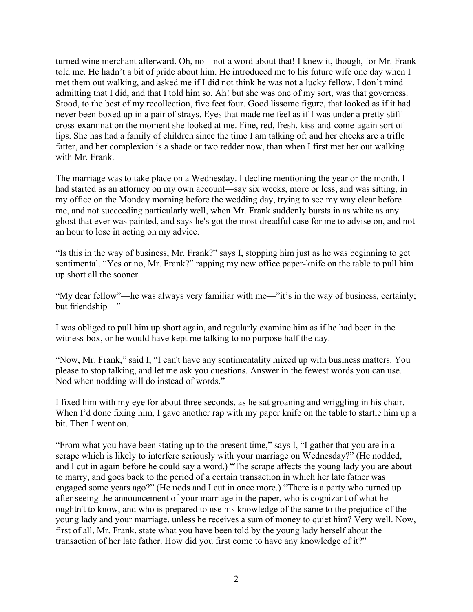turned wine merchant afterward. Oh, no—not a word about that! I knew it, though, for Mr. Frank told me. He hadn't a bit of pride about him. He introduced me to his future wife one day when I met them out walking, and asked me if I did not think he was not a lucky fellow. I don't mind admitting that I did, and that I told him so. Ah! but she was one of my sort, was that governess. Stood, to the best of my recollection, five feet four. Good lissome figure, that looked as if it had never been boxed up in a pair of strays. Eyes that made me feel as if I was under a pretty stiff cross-examination the moment she looked at me. Fine, red, fresh, kiss-and-come-again sort of lips. She has had a family of children since the time I am talking of; and her cheeks are a trifle fatter, and her complexion is a shade or two redder now, than when I first met her out walking with Mr. Frank.

The marriage was to take place on a Wednesday. I decline mentioning the year or the month. I had started as an attorney on my own account—say six weeks, more or less, and was sitting, in my office on the Monday morning before the wedding day, trying to see my way clear before me, and not succeeding particularly well, when Mr. Frank suddenly bursts in as white as any ghost that ever was painted, and says he's got the most dreadful case for me to advise on, and not an hour to lose in acting on my advice.

"Is this in the way of business, Mr. Frank?" says I, stopping him just as he was beginning to get sentimental. "Yes or no, Mr. Frank?" rapping my new office paper-knife on the table to pull him up short all the sooner.

"My dear fellow"—he was always very familiar with me—"it's in the way of business, certainly; but friendship—"

I was obliged to pull him up short again, and regularly examine him as if he had been in the witness-box, or he would have kept me talking to no purpose half the day.

"Now, Mr. Frank," said I, "I can't have any sentimentality mixed up with business matters. You please to stop talking, and let me ask you questions. Answer in the fewest words you can use. Nod when nodding will do instead of words."

I fixed him with my eye for about three seconds, as he sat groaning and wriggling in his chair. When I'd done fixing him, I gave another rap with my paper knife on the table to startle him up a bit. Then I went on.

"From what you have been stating up to the present time," says I, "I gather that you are in a scrape which is likely to interfere seriously with your marriage on Wednesday?" (He nodded, and I cut in again before he could say a word.) "The scrape affects the young lady you are about to marry, and goes back to the period of a certain transaction in which her late father was engaged some years ago?" (He nods and I cut in once more.) "There is a party who turned up after seeing the announcement of your marriage in the paper, who is cognizant of what he oughtn't to know, and who is prepared to use his knowledge of the same to the prejudice of the young lady and your marriage, unless he receives a sum of money to quiet him? Very well. Now, first of all, Mr. Frank, state what you have been told by the young lady herself about the transaction of her late father. How did you first come to have any knowledge of it?"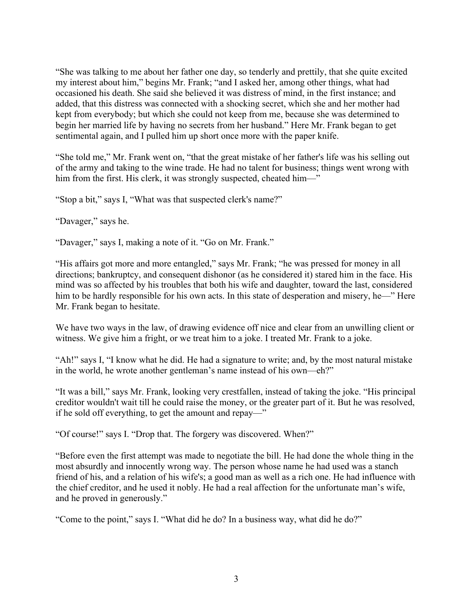"She was talking to me about her father one day, so tenderly and prettily, that she quite excited my interest about him," begins Mr. Frank; "and I asked her, among other things, what had occasioned his death. She said she believed it was distress of mind, in the first instance; and added, that this distress was connected with a shocking secret, which she and her mother had kept from everybody; but which she could not keep from me, because she was determined to begin her married life by having no secrets from her husband." Here Mr. Frank began to get sentimental again, and I pulled him up short once more with the paper knife.

"She told me," Mr. Frank went on, "that the great mistake of her father's life was his selling out of the army and taking to the wine trade. He had no talent for business; things went wrong with him from the first. His clerk, it was strongly suspected, cheated him—"

"Stop a bit," says I, "What was that suspected clerk's name?"

"Davager," says he.

"Davager," says I, making a note of it. "Go on Mr. Frank."

"His affairs got more and more entangled," says Mr. Frank; "he was pressed for money in all directions; bankruptcy, and consequent dishonor (as he considered it) stared him in the face. His mind was so affected by his troubles that both his wife and daughter, toward the last, considered him to be hardly responsible for his own acts. In this state of desperation and misery, he—" Here Mr. Frank began to hesitate.

We have two ways in the law, of drawing evidence off nice and clear from an unwilling client or witness. We give him a fright, or we treat him to a joke. I treated Mr. Frank to a joke.

"Ah!" says I, "I know what he did. He had a signature to write; and, by the most natural mistake in the world, he wrote another gentleman's name instead of his own—eh?"

"It was a bill," says Mr. Frank, looking very crestfallen, instead of taking the joke. "His principal creditor wouldn't wait till he could raise the money, or the greater part of it. But he was resolved, if he sold off everything, to get the amount and repay—"

"Of course!" says I. "Drop that. The forgery was discovered. When?"

"Before even the first attempt was made to negotiate the bill. He had done the whole thing in the most absurdly and innocently wrong way. The person whose name he had used was a stanch friend of his, and a relation of his wife's; a good man as well as a rich one. He had influence with the chief creditor, and he used it nobly. He had a real affection for the unfortunate man's wife, and he proved in generously."

"Come to the point," says I. "What did he do? In a business way, what did he do?"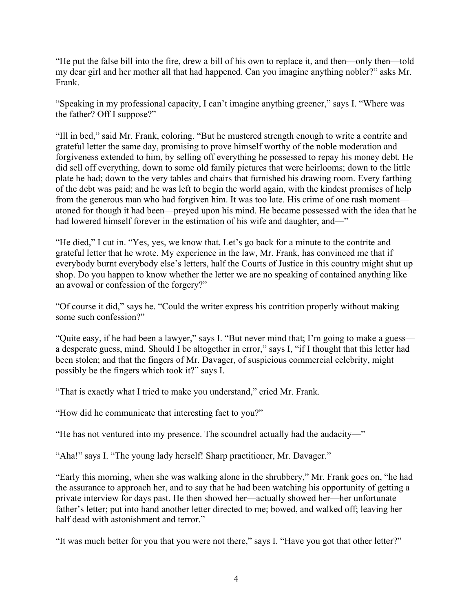"He put the false bill into the fire, drew a bill of his own to replace it, and then—only then—told my dear girl and her mother all that had happened. Can you imagine anything nobler?" asks Mr. Frank.

"Speaking in my professional capacity, I can't imagine anything greener," says I. "Where was the father? Off I suppose?"

"Ill in bed," said Mr. Frank, coloring. "But he mustered strength enough to write a contrite and grateful letter the same day, promising to prove himself worthy of the noble moderation and forgiveness extended to him, by selling off everything he possessed to repay his money debt. He did sell off everything, down to some old family pictures that were heirlooms; down to the little plate he had; down to the very tables and chairs that furnished his drawing room. Every farthing of the debt was paid; and he was left to begin the world again, with the kindest promises of help from the generous man who had forgiven him. It was too late. His crime of one rash moment atoned for though it had been—preyed upon his mind. He became possessed with the idea that he had lowered himself forever in the estimation of his wife and daughter, and—"

"He died," I cut in. "Yes, yes, we know that. Let's go back for a minute to the contrite and grateful letter that he wrote. My experience in the law, Mr. Frank, has convinced me that if everybody burnt everybody else's letters, half the Courts of Justice in this country might shut up shop. Do you happen to know whether the letter we are no speaking of contained anything like an avowal or confession of the forgery?"

"Of course it did," says he. "Could the writer express his contrition properly without making some such confession?"

"Quite easy, if he had been a lawyer," says I. "But never mind that; I'm going to make a guess a desperate guess, mind. Should I be altogether in error," says I, "if I thought that this letter had been stolen; and that the fingers of Mr. Davager, of suspicious commercial celebrity, might possibly be the fingers which took it?" says I.

"That is exactly what I tried to make you understand," cried Mr. Frank.

"How did he communicate that interesting fact to you?"

"He has not ventured into my presence. The scoundrel actually had the audacity—"

"Aha!" says I. "The young lady herself! Sharp practitioner, Mr. Davager."

"Early this morning, when she was walking alone in the shrubbery," Mr. Frank goes on, "he had the assurance to approach her, and to say that he had been watching his opportunity of getting a private interview for days past. He then showed her—actually showed her—her unfortunate father's letter; put into hand another letter directed to me; bowed, and walked off; leaving her half dead with astonishment and terror."

"It was much better for you that you were not there," says I. "Have you got that other letter?"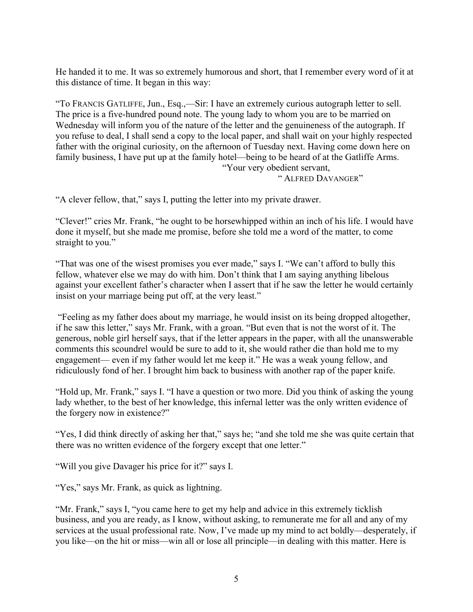He handed it to me. It was so extremely humorous and short, that I remember every word of it at this distance of time. It began in this way:

"To FRANCIS GATLIFFE, Jun., Esq.,—Sir: I have an extremely curious autograph letter to sell. The price is a five-hundred pound note. The young lady to whom you are to be married on Wednesday will inform you of the nature of the letter and the genuineness of the autograph. If you refuse to deal, I shall send a copy to the local paper, and shall wait on your highly respected father with the original curiosity, on the afternoon of Tuesday next. Having come down here on family business, I have put up at the family hotel—being to be heard of at the Gatliffe Arms. "Your very obedient servant,

" ALFRED DAVANGER"

"A clever fellow, that," says I, putting the letter into my private drawer.

"Clever!" cries Mr. Frank, "he ought to be horsewhipped within an inch of his life. I would have done it myself, but she made me promise, before she told me a word of the matter, to come straight to you."

"That was one of the wisest promises you ever made," says I. "We can't afford to bully this fellow, whatever else we may do with him. Don't think that I am saying anything libelous against your excellent father's character when I assert that if he saw the letter he would certainly insist on your marriage being put off, at the very least."

"Feeling as my father does about my marriage, he would insist on its being dropped altogether, if he saw this letter," says Mr. Frank, with a groan. "But even that is not the worst of it. The generous, noble girl herself says, that if the letter appears in the paper, with all the unanswerable comments this scoundrel would be sure to add to it, she would rather die than hold me to my engagement— even if my father would let me keep it." He was a weak young fellow, and ridiculously fond of her. I brought him back to business with another rap of the paper knife.

"Hold up, Mr. Frank," says I. "I have a question or two more. Did you think of asking the young lady whether, to the best of her knowledge, this infernal letter was the only written evidence of the forgery now in existence?"

"Yes, I did think directly of asking her that," says he; "and she told me she was quite certain that there was no written evidence of the forgery except that one letter."

"Will you give Davager his price for it?" says I.

"Yes," says Mr. Frank, as quick as lightning.

"Mr. Frank," says I, "you came here to get my help and advice in this extremely ticklish business, and you are ready, as I know, without asking, to remunerate me for all and any of my services at the usual professional rate. Now, I've made up my mind to act boldly—desperately, if you like—on the hit or miss—win all or lose all principle—in dealing with this matter. Here is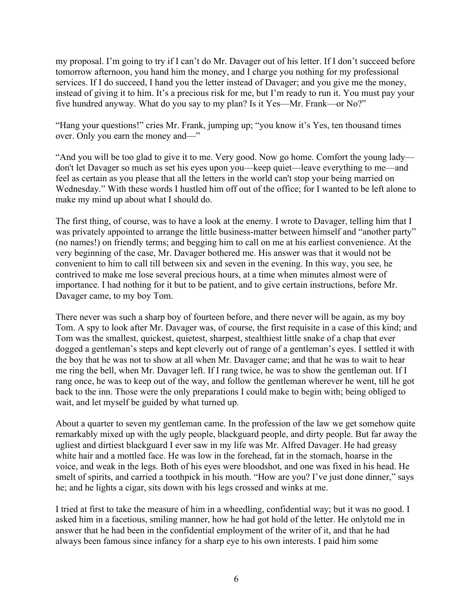my proposal. I'm going to try if I can't do Mr. Davager out of his letter. If I don't succeed before tomorrow afternoon, you hand him the money, and I charge you nothing for my professional services. If I do succeed, I hand you the letter instead of Davager; and you give me the money, instead of giving it to him. It's a precious risk for me, but I'm ready to run it. You must pay your five hundred anyway. What do you say to my plan? Is it Yes—Mr. Frank—or No?"

"Hang your questions!" cries Mr. Frank, jumping up; "you know it's Yes, ten thousand times over. Only you earn the money and—"

"And you will be too glad to give it to me. Very good. Now go home. Comfort the young lady don't let Davager so much as set his eyes upon you—keep quiet—leave everything to me—and feel as certain as you please that all the letters in the world can't stop your being married on Wednesday." With these words I hustled him off out of the office; for I wanted to be left alone to make my mind up about what I should do.

The first thing, of course, was to have a look at the enemy. I wrote to Davager, telling him that I was privately appointed to arrange the little business-matter between himself and "another party" (no names!) on friendly terms; and begging him to call on me at his earliest convenience. At the very beginning of the case, Mr. Davager bothered me. His answer was that it would not be convenient to him to call till between six and seven in the evening. In this way, you see, he contrived to make me lose several precious hours, at a time when minutes almost were of importance. I had nothing for it but to be patient, and to give certain instructions, before Mr. Davager came, to my boy Tom.

There never was such a sharp boy of fourteen before, and there never will be again, as my boy Tom. A spy to look after Mr. Davager was, of course, the first requisite in a case of this kind; and Tom was the smallest, quickest, quietest, sharpest, stealthiest little snake of a chap that ever dogged a gentleman's steps and kept cleverly out of range of a gentleman's eyes. I settled it with the boy that he was not to show at all when Mr. Davager came; and that he was to wait to hear me ring the bell, when Mr. Davager left. If I rang twice, he was to show the gentleman out. If I rang once, he was to keep out of the way, and follow the gentleman wherever he went, till he got back to the inn. Those were the only preparations I could make to begin with; being obliged to wait, and let myself be guided by what turned up.

About a quarter to seven my gentleman came. In the profession of the law we get somehow quite remarkably mixed up with the ugly people, blackguard people, and dirty people. But far away the ugliest and dirtiest blackguard I ever saw in my life was Mr. Alfred Davager. He had greasy white hair and a mottled face. He was low in the forehead, fat in the stomach, hoarse in the voice, and weak in the legs. Both of his eyes were bloodshot, and one was fixed in his head. He smelt of spirits, and carried a toothpick in his mouth. "How are you? I've just done dinner," says he; and he lights a cigar, sits down with his legs crossed and winks at me.

I tried at first to take the measure of him in a wheedling, confidential way; but it was no good. I asked him in a facetious, smiling manner, how he had got hold of the letter. He onlytold me in answer that he had been in the confidential employment of the writer of it, and that he had always been famous since infancy for a sharp eye to his own interests. I paid him some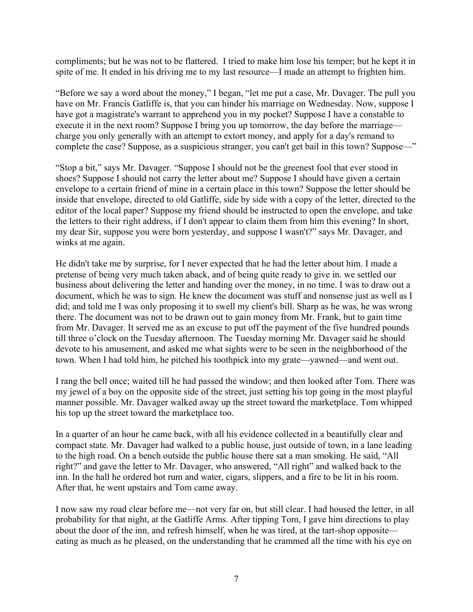compliments; but he was not to be flattered. I tried to make him lose his temper; but he kept it in spite of me. It ended in his driving me to my last resource—I made an attempt to frighten him.

"Before we say a word about the money," I began, "let me put a case, Mr. Davager. The pull you have on Mr. Francis Gatliffe is, that you can hinder his marriage on Wednesday. Now, suppose I have got a magistrate's warrant to apprehend you in my pocket? Suppose I have a constable to execute it in the next room? Suppose I bring you up tomorrow, the day before the marriage charge you only generally with an attempt to extort money, and apply for a day's remand to complete the case? Suppose, as a suspicious stranger, you can't get bail in this town? Suppose—"

"Stop a bit," says Mr. Davager. "Suppose I should not be the greenest fool that ever stood in shoes? Suppose I should not carry the letter about me? Suppose I should have given a certain envelope to a certain friend of mine in a certain place in this town? Suppose the letter should be inside that envelope, directed to old Gatliffe, side by side with a copy of the letter, directed to the editor of the local paper? Suppose my friend should be instructed to open the envelope, and take the letters to their right address, if I don't appear to claim them from him this evening? In short, my dear Sir, suppose you were born yesterday, and suppose I wasn't?" says Mr. Davager, and winks at me again.

He didn't take me by surprise, for I never expected that he had the letter about him. I made a pretense of being very much taken aback, and of being quite ready to give in. we settled our business about delivering the letter and handing over the money, in no time. I was to draw out a document, which he was to sign. He knew the document was stuff and nonsense just as well as I did; and told me I was only proposing it to swell my client's bill. Sharp as he was, he was wrong there. The document was not to be drawn out to gain money from Mr. Frank, but to gain time from Mr. Davager. It served me as an excuse to put off the payment of the five hundred pounds till three o'clock on the Tuesday afternoon. The Tuesday morning Mr. Davager said he should devote to his amusement, and asked me what sights were to be seen in the neighborhood of the town. When I had told him, he pitched his toothpick into my grate—yawned—and went out.

I rang the bell once; waited till he had passed the window; and then looked after Tom. There was my jewel of a boy on the opposite side of the street, just setting his top going in the most playful manner possible. Mr. Davager walked away up the street toward the marketplace. Tom whipped his top up the street toward the marketplace too.

In a quarter of an hour he came back, with all his evidence collected in a beautifully clear and compact state. Mr. Davager had walked to a public house, just outside of town, in a lane leading to the high road. On a bench outside the public house there sat a man smoking. He said, "All right?" and gave the letter to Mr. Davager, who answered, "All right" and walked back to the inn. In the hall he ordered hot rum and water, cigars, slippers, and a fire to be lit in his room. After that, he went upstairs and Tom came away.

I now saw my road clear before me—not very far on, but still clear. I had housed the letter, in all probability for that night, at the Gatliffe Arms. After tipping Tom, I gave him directions to play about the door of the inn, and refresh himself, when he was tired, at the tart-shop opposite eating as much as he pleased, on the understanding that he crammed all the time with his eye on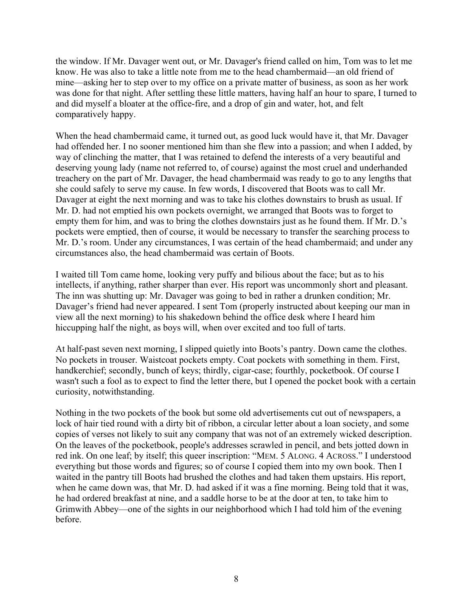the window. If Mr. Davager went out, or Mr. Davager's friend called on him, Tom was to let me know. He was also to take a little note from me to the head chambermaid—an old friend of mine—asking her to step over to my office on a private matter of business, as soon as her work was done for that night. After settling these little matters, having half an hour to spare, I turned to and did myself a bloater at the office-fire, and a drop of gin and water, hot, and felt comparatively happy.

When the head chambermaid came, it turned out, as good luck would have it, that Mr. Davager had offended her. I no sooner mentioned him than she flew into a passion; and when I added, by way of clinching the matter, that I was retained to defend the interests of a very beautiful and deserving young lady (name not referred to, of course) against the most cruel and underhanded treachery on the part of Mr. Davager, the head chambermaid was ready to go to any lengths that she could safely to serve my cause. In few words, I discovered that Boots was to call Mr. Davager at eight the next morning and was to take his clothes downstairs to brush as usual. If Mr. D. had not emptied his own pockets overnight, we arranged that Boots was to forget to empty them for him, and was to bring the clothes downstairs just as he found them. If Mr. D.'s pockets were emptied, then of course, it would be necessary to transfer the searching process to Mr. D.'s room. Under any circumstances, I was certain of the head chambermaid; and under any circumstances also, the head chambermaid was certain of Boots.

I waited till Tom came home, looking very puffy and bilious about the face; but as to his intellects, if anything, rather sharper than ever. His report was uncommonly short and pleasant. The inn was shutting up: Mr. Davager was going to bed in rather a drunken condition; Mr. Davager's friend had never appeared. I sent Tom (properly instructed about keeping our man in view all the next morning) to his shakedown behind the office desk where I heard him hiccupping half the night, as boys will, when over excited and too full of tarts.

At half-past seven next morning, I slipped quietly into Boots's pantry. Down came the clothes. No pockets in trouser. Waistcoat pockets empty. Coat pockets with something in them. First, handkerchief; secondly, bunch of keys; thirdly, cigar-case; fourthly, pocketbook. Of course I wasn't such a fool as to expect to find the letter there, but I opened the pocket book with a certain curiosity, notwithstanding.

Nothing in the two pockets of the book but some old advertisements cut out of newspapers, a lock of hair tied round with a dirty bit of ribbon, a circular letter about a loan society, and some copies of verses not likely to suit any company that was not of an extremely wicked description. On the leaves of the pocketbook, people's addresses scrawled in pencil, and bets jotted down in red ink. On one leaf; by itself; this queer inscription: "MEM. 5 ALONG. 4 ACROSS." I understood everything but those words and figures; so of course I copied them into my own book. Then I waited in the pantry till Boots had brushed the clothes and had taken them upstairs. His report, when he came down was, that Mr. D. had asked if it was a fine morning. Being told that it was, he had ordered breakfast at nine, and a saddle horse to be at the door at ten, to take him to Grimwith Abbey—one of the sights in our neighborhood which I had told him of the evening before.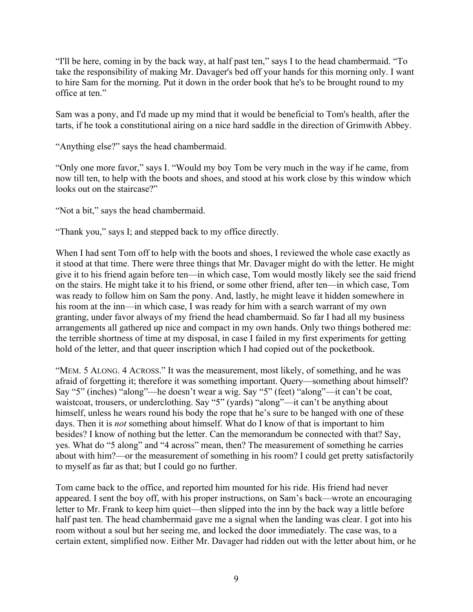"I'll be here, coming in by the back way, at half past ten," says I to the head chambermaid. "To take the responsibility of making Mr. Davager's bed off your hands for this morning only. I want to hire Sam for the morning. Put it down in the order book that he's to be brought round to my office at ten."

Sam was a pony, and I'd made up my mind that it would be beneficial to Tom's health, after the tarts, if he took a constitutional airing on a nice hard saddle in the direction of Grimwith Abbey.

"Anything else?" says the head chambermaid.

"Only one more favor," says I. "Would my boy Tom be very much in the way if he came, from now till ten, to help with the boots and shoes, and stood at his work close by this window which looks out on the staircase?"

"Not a bit," says the head chambermaid.

"Thank you," says I; and stepped back to my office directly.

When I had sent Tom off to help with the boots and shoes, I reviewed the whole case exactly as it stood at that time. There were three things that Mr. Davager might do with the letter. He might give it to his friend again before ten—in which case, Tom would mostly likely see the said friend on the stairs. He might take it to his friend, or some other friend, after ten—in which case, Tom was ready to follow him on Sam the pony. And, lastly, he might leave it hidden somewhere in his room at the inn—in which case, I was ready for him with a search warrant of my own granting, under favor always of my friend the head chambermaid. So far I had all my business arrangements all gathered up nice and compact in my own hands. Only two things bothered me: the terrible shortness of time at my disposal, in case I failed in my first experiments for getting hold of the letter, and that queer inscription which I had copied out of the pocketbook.

"MEM. 5 ALONG. 4 ACROSS." It was the measurement, most likely, of something, and he was afraid of forgetting it; therefore it was something important. Query—something about himself? Say "5" (inches) "along"—he doesn't wear a wig. Say "5" (feet) "along"—it can't be coat, waistcoat, trousers, or underclothing. Say "5" (yards) "along"—it can't be anything about himself, unless he wears round his body the rope that he's sure to be hanged with one of these days. Then it is *not* something about himself. What do I know of that is important to him besides? I know of nothing but the letter. Can the memorandum be connected with that? Say, yes. What do "5 along" and "4 across" mean, then? The measurement of something he carries about with him?—or the measurement of something in his room? I could get pretty satisfactorily to myself as far as that; but I could go no further.

Tom came back to the office, and reported him mounted for his ride. His friend had never appeared. I sent the boy off, with his proper instructions, on Sam's back—wrote an encouraging letter to Mr. Frank to keep him quiet—then slipped into the inn by the back way a little before half past ten. The head chambermaid gave me a signal when the landing was clear. I got into his room without a soul but her seeing me, and locked the door immediately. The case was, to a certain extent, simplified now. Either Mr. Davager had ridden out with the letter about him, or he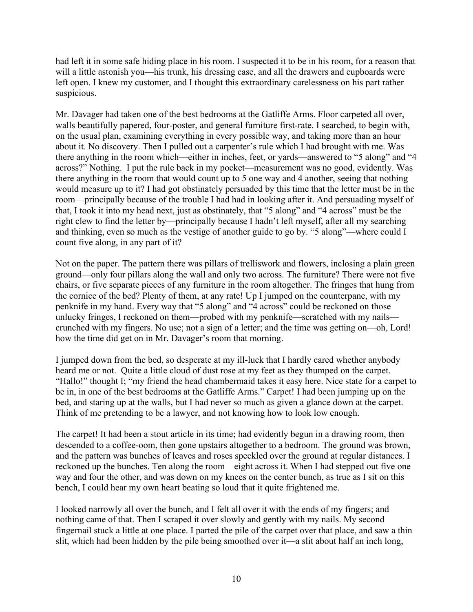had left it in some safe hiding place in his room. I suspected it to be in his room, for a reason that will a little astonish you—his trunk, his dressing case, and all the drawers and cupboards were left open. I knew my customer, and I thought this extraordinary carelessness on his part rather suspicious.

Mr. Davager had taken one of the best bedrooms at the Gatliffe Arms. Floor carpeted all over, walls beautifully papered, four-poster, and general furniture first-rate. I searched, to begin with, on the usual plan, examining everything in every possible way, and taking more than an hour about it. No discovery. Then I pulled out a carpenter's rule which I had brought with me. Was there anything in the room which—either in inches, feet, or yards—answered to "5 along" and "4 across?" Nothing. I put the rule back in my pocket—measurement was no good, evidently. Was there anything in the room that would count up to 5 one way and 4 another, seeing that nothing would measure up to it? I had got obstinately persuaded by this time that the letter must be in the room—principally because of the trouble I had had in looking after it. And persuading myself of that, I took it into my head next, just as obstinately, that "5 along" and "4 across" must be the right clew to find the letter by—principally because I hadn't left myself, after all my searching and thinking, even so much as the vestige of another guide to go by. "5 along"—where could I count five along, in any part of it?

Not on the paper. The pattern there was pillars of trelliswork and flowers, inclosing a plain green ground—only four pillars along the wall and only two across. The furniture? There were not five chairs, or five separate pieces of any furniture in the room altogether. The fringes that hung from the cornice of the bed? Plenty of them, at any rate! Up I jumped on the counterpane, with my penknife in my hand. Every way that "5 along" and "4 across" could be reckoned on those unlucky fringes, I reckoned on them—probed with my penknife—scratched with my nails crunched with my fingers. No use; not a sign of a letter; and the time was getting on—oh, Lord! how the time did get on in Mr. Davager's room that morning.

I jumped down from the bed, so desperate at my ill-luck that I hardly cared whether anybody heard me or not. Quite a little cloud of dust rose at my feet as they thumped on the carpet. "Hallo!" thought I; "my friend the head chambermaid takes it easy here. Nice state for a carpet to be in, in one of the best bedrooms at the Gatliffe Arms." Carpet! I had been jumping up on the bed, and staring up at the walls, but I had never so much as given a glance down at the carpet. Think of me pretending to be a lawyer, and not knowing how to look low enough.

The carpet! It had been a stout article in its time; had evidently begun in a drawing room, then descended to a coffee-oom, then gone upstairs altogether to a bedroom. The ground was brown, and the pattern was bunches of leaves and roses speckled over the ground at regular distances. I reckoned up the bunches. Ten along the room—eight across it. When I had stepped out five one way and four the other, and was down on my knees on the center bunch, as true as I sit on this bench, I could hear my own heart beating so loud that it quite frightened me.

I looked narrowly all over the bunch, and I felt all over it with the ends of my fingers; and nothing came of that. Then I scraped it over slowly and gently with my nails. My second fingernail stuck a little at one place. I parted the pile of the carpet over that place, and saw a thin slit, which had been hidden by the pile being smoothed over it—a slit about half an inch long,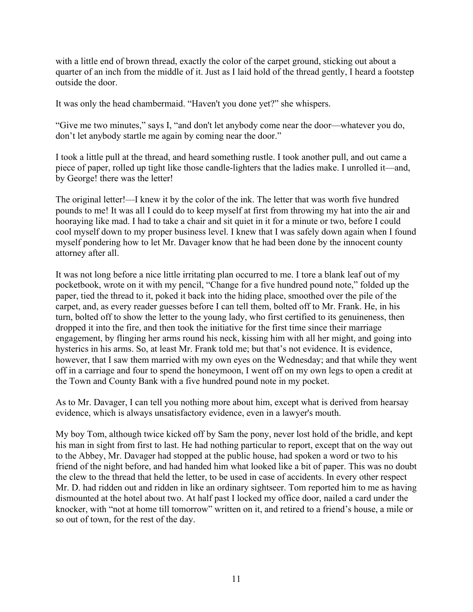with a little end of brown thread, exactly the color of the carpet ground, sticking out about a quarter of an inch from the middle of it. Just as I laid hold of the thread gently, I heard a footstep outside the door.

It was only the head chambermaid. "Haven't you done yet?" she whispers.

"Give me two minutes," says I, "and don't let anybody come near the door—whatever you do, don't let anybody startle me again by coming near the door."

I took a little pull at the thread, and heard something rustle. I took another pull, and out came a piece of paper, rolled up tight like those candle-lighters that the ladies make. I unrolled it—and, by George! there was the letter!

The original letter!—I knew it by the color of the ink. The letter that was worth five hundred pounds to me! It was all I could do to keep myself at first from throwing my hat into the air and hooraying like mad. I had to take a chair and sit quiet in it for a minute or two, before I could cool myself down to my proper business level. I knew that I was safely down again when I found myself pondering how to let Mr. Davager know that he had been done by the innocent county attorney after all.

It was not long before a nice little irritating plan occurred to me. I tore a blank leaf out of my pocketbook, wrote on it with my pencil, "Change for a five hundred pound note," folded up the paper, tied the thread to it, poked it back into the hiding place, smoothed over the pile of the carpet, and, as every reader guesses before I can tell them, bolted off to Mr. Frank. He, in his turn, bolted off to show the letter to the young lady, who first certified to its genuineness, then dropped it into the fire, and then took the initiative for the first time since their marriage engagement, by flinging her arms round his neck, kissing him with all her might, and going into hysterics in his arms. So, at least Mr. Frank told me; but that's not evidence. It is evidence, however, that I saw them married with my own eyes on the Wednesday; and that while they went off in a carriage and four to spend the honeymoon, I went off on my own legs to open a credit at the Town and County Bank with a five hundred pound note in my pocket.

As to Mr. Davager, I can tell you nothing more about him, except what is derived from hearsay evidence, which is always unsatisfactory evidence, even in a lawyer's mouth.

My boy Tom, although twice kicked off by Sam the pony, never lost hold of the bridle, and kept his man in sight from first to last. He had nothing particular to report, except that on the way out to the Abbey, Mr. Davager had stopped at the public house, had spoken a word or two to his friend of the night before, and had handed him what looked like a bit of paper. This was no doubt the clew to the thread that held the letter, to be used in case of accidents. In every other respect Mr. D. had ridden out and ridden in like an ordinary sightseer. Tom reported him to me as having dismounted at the hotel about two. At half past I locked my office door, nailed a card under the knocker, with "not at home till tomorrow" written on it, and retired to a friend's house, a mile or so out of town, for the rest of the day.